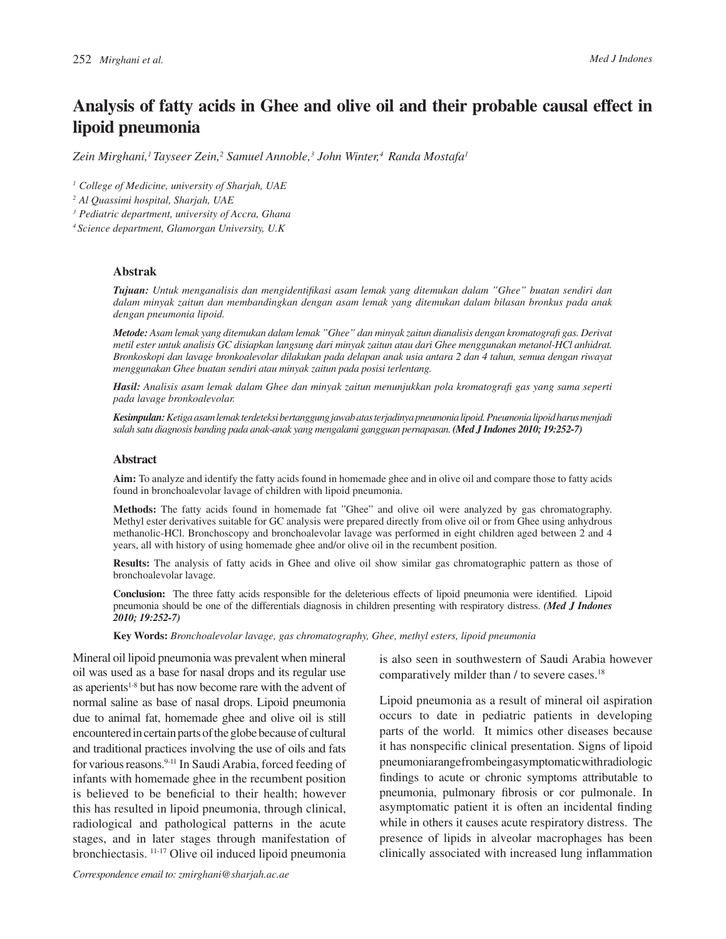# **Analysis of fatty acids in Ghee and olive oil and their probable causal effect in lipoid pneumonia**

*Zein Mirghani,<sup>1</sup>Tayseer Zein,<sup>2</sup> Samuel Annoble,<sup>3</sup> John Winter,<sup>4</sup>Randa Mostafa<sup>1</sup>*

*<sup>1</sup>College of Medicine, university of Sharjah, UAE*

*<sup>2</sup>Al Quassimi hospital, Sharjah, UAE*

*<sup>3</sup>Pediatric department, university of Accra, Ghana*

*<sup>4</sup>Science department, Glamorgan University, U.K*

#### **Abstrak**

**Tujuan:** Untuk menganalisis dan mengidentifikasi asam lemak yang ditemukan dalam "Ghee" buatan sendiri dan *dalam minyak zaitun dan membandingkan dengan asam lemak yang ditemukan dalam bilasan bronkus pada anak dengan pneumonia lipoid.*

*Metode: Asam lemak yang ditemukan dalam lemak "Ghee" dan minyak zaitun dianalisis dengan kromatografi gas. Derivat metil ester untuk analisis GC disiapkan langsung dari minyak zaitun atau dari Ghee menggunakan metanol-HCl anhidrat. Bronkoskopi dan lavage bronkoalevolar dilakukan pada delapan anak usia antara 2 dan 4 tahun, semua dengan riwayat menggunakan Ghee buatan sendiri atau minyak zaitun pada posisi terlentang.*

*Hasil: Analisis asam lemak dalam Ghee dan minyak zaitun menunjukkan pola kromatografi gas yang sama seperti pada lavage bronkoalevolar.*

*Kesimpulan: Ketiga asam lemak terdeteksi bertanggung jawab atas terjadinya pneumonia lipoid. Pneumonia lipoid harus menjadi salah satu diagnosis banding pada anak-anak yang mengalami gangguan pernapasan. (Med J Indones 2010; 19:252-7)*

#### **Abstract**

**Aim:** To analyze and identify the fatty acids found in homemade ghee and in olive oil and compare those to fatty acids found in bronchoalevolar lavage of children with lipoid pneumonia.

**Methods:** The fatty acids found in homemade fat "Ghee" and olive oil were analyzed by gas chromatography. Methyl ester derivatives suitable for GC analysis were prepared directly from olive oil or from Ghee using anhydrous methanolic-HCl. Bronchoscopy and bronchoalevolar lavage was performed in eight children aged between 2 and 4 years, all with history of using homemade ghee and/or olive oil in the recumbent position.

**Results:** The analysis of fatty acids in Ghee and olive oil show similar gas chromatographic pattern as those of bronchoalevolar lavage.

**Conclusion:** The three fatty acids responsible for the deleterious effects of lipoid pneumonia were identified. Lipoid pneumonia should be one of the differentials diagnosis in children presenting with respiratory distress. *(Med J Indones 2010; 19:252-7)*

**Key Words:** *Bronchoalevolar lavage, gas chromatography, Ghee, methyl esters, lipoid pneumonia*

Mineral oil lipoid pneumonia was prevalent when mineral oil was used as a base for nasal drops and its regular use as aperients<sup>1-8</sup> but has now become rare with the advent of normal saline as base of nasal drops. Lipoid pneumonia due to animal fat, homemade ghee and olive oil is still encountered in certain parts of the globe because of cultural and traditional practices involving the use of oils and fats for various reasons.9-11 In Saudi Arabia, forced feeding of infants with homemade ghee in the recumbent position is believed to be beneficial to their health; however this has resulted in lipoid pneumonia, through clinical, radiological and pathological patterns in the acute stages, and in later stages through manifestation of bronchiectasis. 11-17 Olive oil induced lipoid pneumonia

is also seen in southwestern of Saudi Arabia however comparatively milder than / to severe cases.<sup>18</sup>

Lipoid pneumonia as a result of mineral oil aspiration occurs to date in pediatric patients in developing parts of the world. It mimics other diseases because it has nonspecific clinical presentation. Signs of lipoid pneumonia range from being asymptomatic with radiologic findings to acute or chronic symptoms attributable to pneumonia, pulmonary fibrosis or cor pulmonale. In asymptomatic patient it is often an incidental finding while in others it causes acute respiratory distress. The presence of lipids in alveolar macrophages has been clinically associated with increased lung inflammation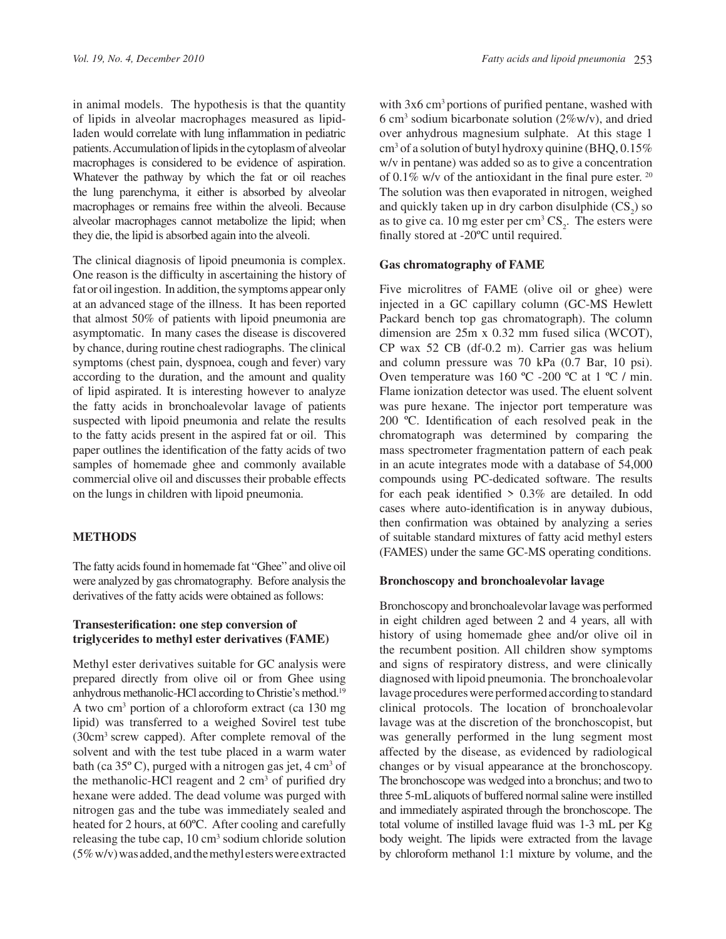in animal models. The hypothesis is that the quantity of lipids in alveolar macrophages measured as lipidladen would correlate with lung inflammation in pediatric patients. Accumulation of lipids in the cytoplasm of alveolar macrophages is considered to be evidence of aspiration. Whatever the pathway by which the fat or oil reaches the lung parenchyma, it either is absorbed by alveolar macrophages or remains free within the alveoli. Because alveolar macrophages cannot metabolize the lipid; when they die, the lipid is absorbed again into the alveoli.

The clinical diagnosis of lipoid pneumonia is complex. One reason is the difficulty in ascertaining the history of fat or oil ingestion. In addition, the symptoms appear only at an advanced stage of the illness. It has been reported that almost 50% of patients with lipoid pneumonia are asymptomatic. In many cases the disease is discovered by chance, during routine chest radiographs. The clinical symptoms (chest pain, dyspnoea, cough and fever) vary according to the duration, and the amount and quality of lipid aspirated. It is interesting however to analyze the fatty acids in bronchoalevolar lavage of patients suspected with lipoid pneumonia and relate the results to the fatty acids present in the aspired fat or oil. This paper outlines the identification of the fatty acids of two samples of homemade ghee and commonly available commercial olive oil and discusses their probable effects on the lungs in children with lipoid pneumonia.

## **METHODS**

The fatty acids found in homemade fat "Ghee" and olive oil were analyzed by gas chromatography. Before analysis the derivatives of the fatty acids were obtained as follows:

# **Transesterification: one step conversion of triglycerides to methyl ester derivatives (FAME)**

Methyl ester derivatives suitable for GC analysis were prepared directly from olive oil or from Ghee using anhydrous methanolic-HCl according to Christie's method.<sup>19</sup> A two cm<sup>3</sup> portion of a chloroform extract (ca 130 mg lipid) was transferred to a weighed Sovirel test tube (30cm<sup>3</sup> screw capped). After complete removal of the solvent and with the test tube placed in a warm water bath (ca  $35^{\circ}$  C), purged with a nitrogen gas jet,  $4 \text{ cm}^3$  of the methanolic-HCl reagent and  $2 \text{ cm}^3$  of purified dry hexane were added. The dead volume was purged with nitrogen gas and the tube was immediately sealed and heated for 2 hours, at 60ºC. After cooling and carefully releasing the tube cap, 10 cm<sup>3</sup> sodium chloride solution (5% w/v) was added, and the methyl esters were extracted

with  $3x6 \text{ cm}^3$  portions of purified pentane, washed with 6 cm<sup>3</sup> sodium bicarbonate solution ( $2\%$ w/v), and dried over anhydrous magnesium sulphate. At this stage 1 cm<sup>3</sup> of a solution of butyl hydroxy quinine (BHQ, 0.15% w/v in pentane) was added so as to give a concentration of  $0.1\%$  w/v of the antioxidant in the final pure ester.  $20$ The solution was then evaporated in nitrogen, weighed and quickly taken up in dry carbon disulphide  $(CS_2)$  so as to give ca. 10 mg ester per  $\text{cm}^3 \text{ CS}_2$ . The esters were finally stored at -20°C until required.

#### **Gas chromatography of FAME**

Five microlitres of FAME (olive oil or ghee) were injected in a GC capillary column (GC-MS Hewlett Packard bench top gas chromatograph). The column dimension are 25m x 0.32 mm fused silica (WCOT), CP wax 52 CB (df-0.2 m). Carrier gas was helium and column pressure was 70 kPa (0.7 Bar, 10 psi). Oven temperature was  $160^{\circ}$ C -200 °C at 1 °C / min. Flame ionization detector was used. The eluent solvent was pure hexane. The injector port temperature was  $200$  °C. Identification of each resolved peak in the chromatograph was determined by comparing the mass spectrometer fragmentation pattern of each peak in an acute integrates mode with a database of 54,000 compounds using PC-dedicated software. The results for each peak identified  $> 0.3\%$  are detailed. In odd cases where auto-identification is in anyway dubious, then confirmation was obtained by analyzing a series of suitable standard mixtures of fatty acid methyl esters (FAMES) under the same GC-MS operating conditions.

#### **Bronchoscopy and bronchoalevolar lavage**

Bronchoscopy and bronchoalevolar lavage was performed in eight children aged between 2 and 4 years, all with history of using homemade ghee and/or olive oil in the recumbent position. All children show symptoms and signs of respiratory distress, and were clinically diagnosed with lipoid pneumonia. The bronchoalevolar lavage procedures were performed according to standard clinical protocols. The location of bronchoalevolar lavage was at the discretion of the bronchoscopist, but was generally performed in the lung segment most affected by the disease, as evidenced by radiological changes or by visual appearance at the bronchoscopy. The bronchoscope was wedged into a bronchus; and two to three 5-mL aliquots of buffered normal saline were instilled and immediately aspirated through the bronchoscope. The total volume of instilled lavage fluid was 1-3 mL per Kg body weight. The lipids were extracted from the lavage by chloroform methanol 1:1 mixture by volume, and the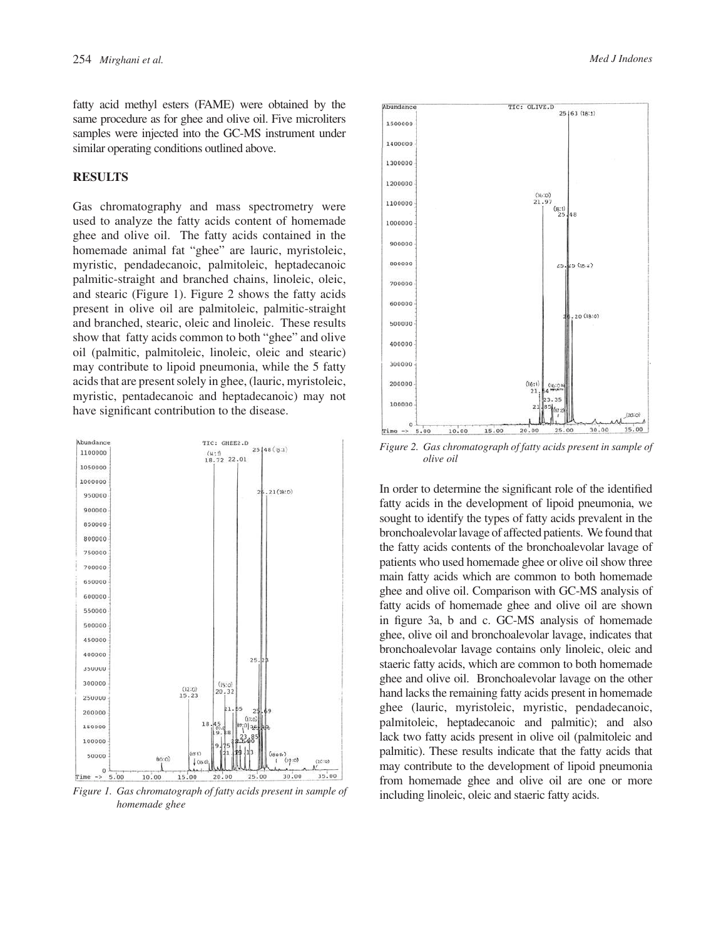fatty acid methyl esters (FAME) were obtained by the same procedure as for ghee and olive oil. Five microliters samples were injected into the GC-MS instrument under similar operating conditions outlined above.

## **RESULTS**

Gas chromatography and mass spectrometry were used to analyze the fatty acids content of homemade ghee and olive oil. The fatty acids contained in the homemade animal fat "ghee" are lauric, myristoleic, myristic, pendadecanoic, palmitoleic, heptadecanoic palmitic-straight and branched chains, linoleic, oleic, and stearic (Figure 1). Figure 2 shows the fatty acids present in olive oil are palmitoleic, palmitic-straight and branched, stearic, oleic and linoleic. These results show that fatty acids common to both "ghee" and olive oil (palmitic, palmitoleic, linoleic, oleic and stearic) may contribute to lipoid pneumonia, while the 5 fatty acids that are present solely in ghee, (lauric, myristoleic, myristic, pentadecanoic and heptadecanoic) may not have significant contribution to the disease.



Figure 1. Gas chromatograph of fatty acids present in sample of including linoleic, oleic and staeric fatty acids. *homemade ghee*





*Figure 2. Gas chromatograph of fatty acids present in sample of olive oil*

In order to determine the significant role of the identified fatty acids in the development of lipoid pneumonia, we sought to identify the types of fatty acids prevalent in the bronchoalevolar lavage of affected patients. We found that the fatty acids contents of the bronchoalevolar lavage of patients who used homemade ghee or olive oil show three main fatty acids which are common to both homemade ghee and olive oil. Comparison with GC-MS analysis of fatty acids of homemade ghee and olive oil are shown in figure 3a, b and c. GC-MS analysis of homemade ghee, olive oil and bronchoalevolar lavage, indicates that bronchoalevolar lavage contains only linoleic, oleic and staeric fatty acids, which are common to both homemade ghee and olive oil. Bronchoalevolar lavage on the other hand lacks the remaining fatty acids present in homemade ghee (lauric, myristoleic, myristic, pendadecanoic, palmitoleic, heptadecanoic and palmitic); and also lack two fatty acids present in olive oil (palmitoleic and palmitic). These results indicate that the fatty acids that may contribute to the development of lipoid pneumonia from homemade ghee and olive oil are one or more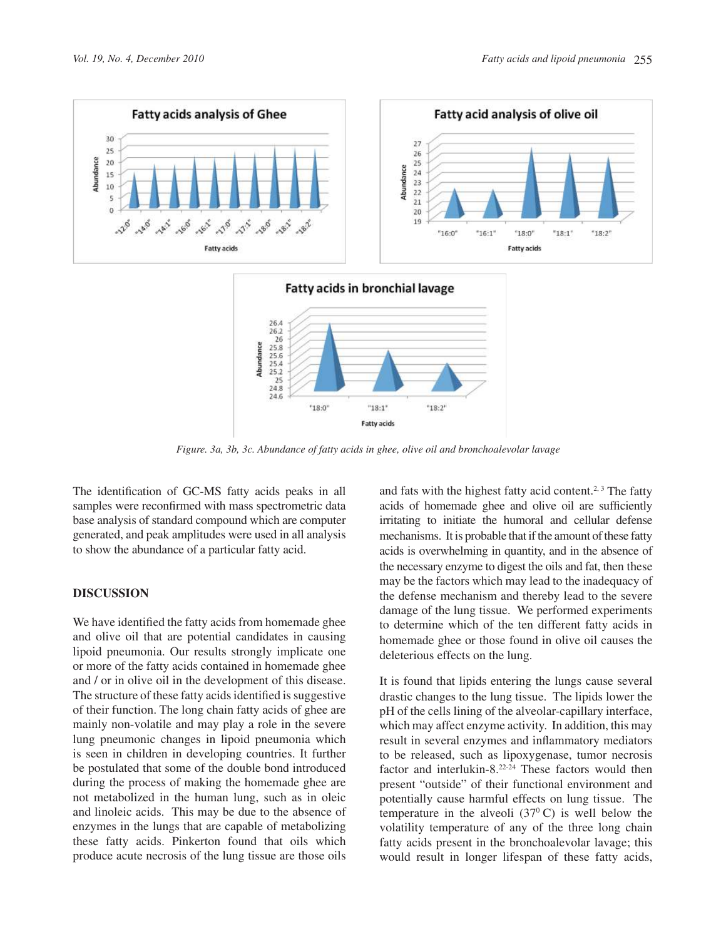



*Figure. 3a, 3b, 3c. Abundance of fatty acids in ghee, olive oil and bronchoalevolar lavage*

The identification of GC-MS fatty acids peaks in all samples were reconfirmed with mass spectrometric data base analysis of standard compound which are computer generated, and peak amplitudes were used in all analysis to show the abundance of a particular fatty acid.

# **DISCUSSION**

We have identified the fatty acids from homemade ghee and olive oil that are potential candidates in causing lipoid pneumonia. Our results strongly implicate one or more of the fatty acids contained in homemade ghee and / or in olive oil in the development of this disease. The structure of these fatty acids identified is suggestive of their function. The long chain fatty acids of ghee are mainly non-volatile and may play a role in the severe lung pneumonic changes in lipoid pneumonia which is seen in children in developing countries. It further be postulated that some of the double bond introduced during the process of making the homemade ghee are not metabolized in the human lung, such as in oleic and linoleic acids. This may be due to the absence of enzymes in the lungs that are capable of metabolizing these fatty acids. Pinkerton found that oils which produce acute necrosis of the lung tissue are those oils

and fats with the highest fatty acid content.<sup>2, 3</sup> The fatty acids of homemade ghee and olive oil are sufficiently irritating to initiate the humoral and cellular defense mechanisms. It is probable that if the amount of these fatty acids is overwhelming in quantity, and in the absence of the necessary enzyme to digest the oils and fat, then these may be the factors which may lead to the inadequacy of the defense mechanism and thereby lead to the severe damage of the lung tissue. We performed experiments to determine which of the ten different fatty acids in homemade ghee or those found in olive oil causes the deleterious effects on the lung.

It is found that lipids entering the lungs cause several drastic changes to the lung tissue. The lipids lower the pH of the cells lining of the alveolar-capillary interface, which may affect enzyme activity. In addition, this may result in several enzymes and inflammatory mediators to be released, such as lipoxygenase, tumor necrosis factor and interlukin-8.22-24 These factors would then present "outside" of their functional environment and potentially cause harmful effects on lung tissue. The temperature in the alveoli  $(37<sup>0</sup> C)$  is well below the volatility temperature of any of the three long chain fatty acids present in the bronchoalevolar lavage; this would result in longer lifespan of these fatty acids,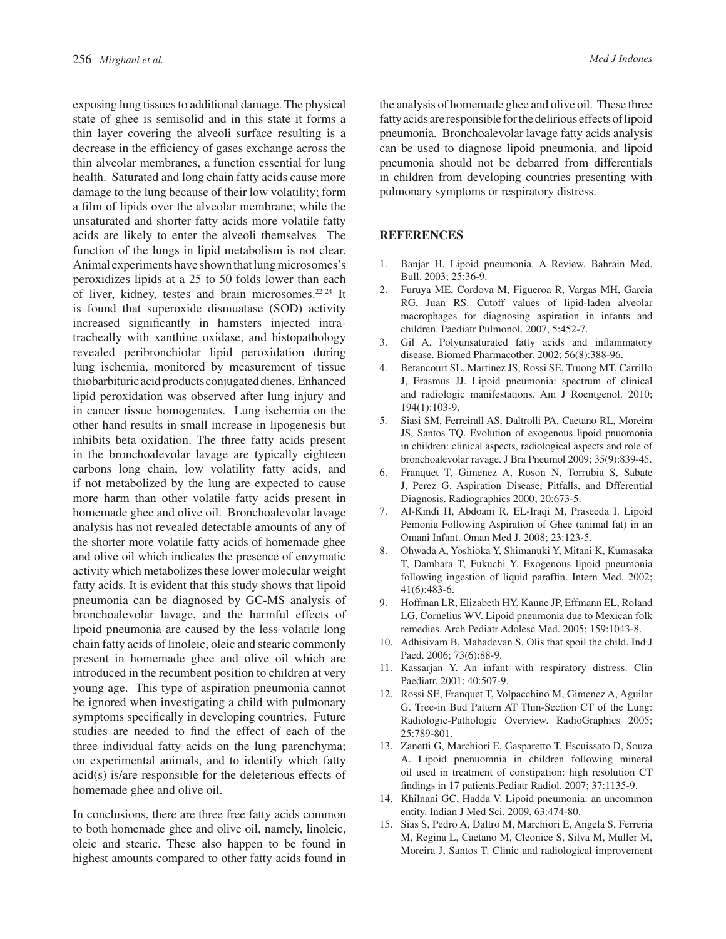exposing lung tissues to additional damage. The physical state of ghee is semisolid and in this state it forms a thin layer covering the alveoli surface resulting is a decrease in the efficiency of gases exchange across the thin alveolar membranes, a function essential for lung health. Saturated and long chain fatty acids cause more damage to the lung because of their low volatility; form a film of lipids over the alveolar membrane; while the unsaturated and shorter fatty acids more volatile fatty acids are likely to enter the alveoli themselves The function of the lungs in lipid metabolism is not clear. Animal experiments have shown that lung microsomes's peroxidizes lipids at a 25 to 50 folds lower than each of liver, kidney, testes and brain microsomes.22-24 It is found that superoxide dismuatase (SOD) activity increased significantly in hamsters injected intratracheally with xanthine oxidase, and histopathology revealed peribronchiolar lipid peroxidation during lung ischemia, monitored by measurement of tissue thiobarbituric acid products conjugated dienes. Enhanced lipid peroxidation was observed after lung injury and in cancer tissue homogenates. Lung ischemia on the other hand results in small increase in lipogenesis but inhibits beta oxidation. The three fatty acids present in the bronchoalevolar lavage are typically eighteen carbons long chain, low volatility fatty acids, and if not metabolized by the lung are expected to cause more harm than other volatile fatty acids present in homemade ghee and olive oil. Bronchoalevolar lavage analysis has not revealed detectable amounts of any of the shorter more volatile fatty acids of homemade ghee and olive oil which indicates the presence of enzymatic activity which metabolizes these lower molecular weight fatty acids. It is evident that this study shows that lipoid pneumonia can be diagnosed by GC-MS analysis of bronchoalevolar lavage, and the harmful effects of lipoid pneumonia are caused by the less volatile long chain fatty acids of linoleic, oleic and stearic commonly present in homemade ghee and olive oil which are introduced in the recumbent position to children at very young age. This type of aspiration pneumonia cannot be ignored when investigating a child with pulmonary symptoms specifically in developing countries. Future studies are needed to find the effect of each of the three individual fatty acids on the lung parenchyma; on experimental animals, and to identify which fatty acid(s) is/are responsible for the deleterious effects of homemade ghee and olive oil.

In conclusions, there are three free fatty acids common to both homemade ghee and olive oil, namely, linoleic, oleic and stearic. These also happen to be found in highest amounts compared to other fatty acids found in

the analysis of homemade ghee and olive oil. These three fatty acids are responsible for the delirious effects of lipoid pneumonia. Bronchoalevolar lavage fatty acids analysis can be used to diagnose lipoid pneumonia, and lipoid pneumonia should not be debarred from differentials in children from developing countries presenting with pulmonary symptoms or respiratory distress.

# **REFERENCES**

- 1. Banjar H. Lipoid pneumonia. A Review. Bahrain Med. Bull. 2003; 25:36-9.
- 2. Furuya ME, Cordova M, Figueroa R, Vargas MH, Garcia RG, Juan RS. Cutoff values of lipid-laden alveolar macrophages for diagnosing aspiration in infants and children. Paediatr Pulmonol. 2007, 5:452-7.
- 3. Gil A. Polyunsaturated fatty acids and inflammatory disease. Biomed Pharmacother. 2002; 56(8):388-96.
- 4. Betancourt SL, Martinez JS, Rossi SE, Truong MT, Carrillo J, Erasmus JJ. Lipoid pneumonia: spectrum of clinical and radiologic manifestations. Am J Roentgenol. 2010; 194(1):103-9.
- 5. Siasi SM, Ferreirall AS, Daltrolli PA, Caetano RL, Moreira JS, Santos TQ. Evolution of exogenous lipoid pnuomonia in children: clinical aspects, radiological aspects and role of bronchoalevolar ravage. J Bra Pneumol 2009; 35(9):839-45.
- 6. Franquet T, Gimenez A, Roson N, Torrubia S, Sabate J, Perez G. Aspiration Disease, Pitfalls, and Dfferential Diagnosis. Radiographics 2000; 20:673-5.
- 7. Al-Kindi H, Abdoani R, EL-Iraqi M, Praseeda I. Lipoid Pemonia Following Aspiration of Ghee (animal fat) in an Omani Infant. Oman Med J. 2008; 23:123-5.
- 8. Ohwada A, Yoshioka Y, Shimanuki Y, Mitani K, Kumasaka T, Dambara T, Fukuchi Y. Exogenous lipoid pneumonia following ingestion of liquid paraffin. Intern Med. 2002; 41(6):483-6.
- 9. Hoffman LR, Elizabeth HY, Kanne JP, Effmann EL, Roland LG, Cornelius WV. Lipoid pneumonia due to Mexican folk remedies. Arch Pediatr Adolesc Med. 2005; 159:1043-8.
- 10. Adhisivam B, Mahadevan S. Olis that spoil the child. Ind J Paed. 2006; 73(6):88-9.
- 11. Kassarjan Y. An infant with respiratory distress. Clin Paediatr. 2001; 40:507-9.
- 12. Rossi SE, Franquet T, Volpacchino M, Gimenez A, Aguilar G. Tree-in Bud Pattern AT Thin-Section CT of the Lung: Radiologic-Pathologic Overview. RadioGraphics 2005; 25:789-801.
- 13. Zanetti G, Marchiori E, Gasparetto T, Escuissato D, Souza A. Lipoid pnenuomnia in children following mineral oil used in treatment of constipation: high resolution CT findings in 17 patients.Pediatr Radiol. 2007; 37:1135-9.
- 14. Khilnani GC, Hadda V. Lipoid pneumonia: an uncommon entity. Indian J Med Sci. 2009, 63:474-80.
- 15. Sias S, Pedro A, Daltro M, Marchiori E, Angela S, Ferreria M, Regina L, Caetano M, Cleonice S, Silva M, Muller M, Moreira J, Santos T. Clinic and radiological improvement